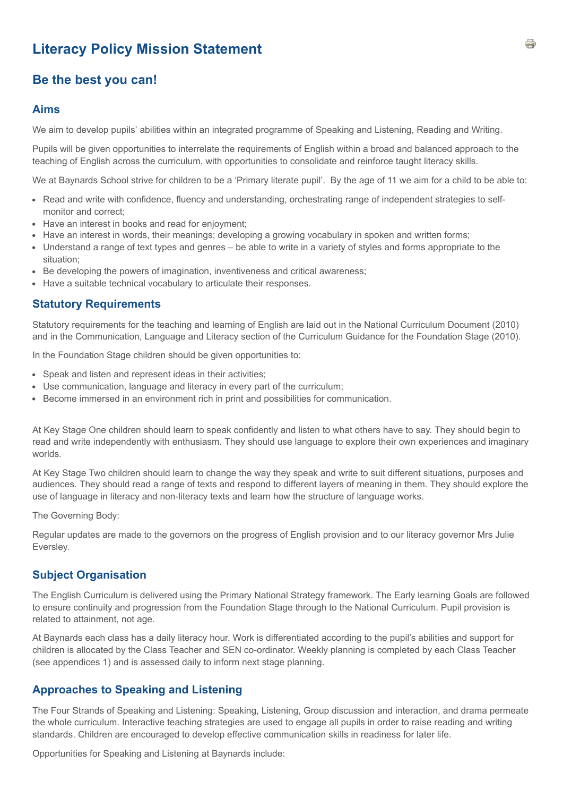# **Literacy Policy Mission Statement**

# **Be the best you can!**

#### **Aims**

We aim to develop pupils' abilities within an integrated programme of Speaking and Listening, Reading and Writing.

Pupils will be given opportunities to interrelate the requirements of English within a broad and balanced approach to the teaching of English across the curriculum, with opportunities to consolidate and reinforce taught literacy skills.

We at Baynards School strive for children to be a 'Primary literate pupil'. By the age of 11 we aim for a child to be able to:

- Read and write with confidence, fluency and understanding, orchestrating range of independent strategies to selfmonitor and correct;
- Have an interest in books and read for enjoyment;
- Have an interest in words, their meanings; developing a growing vocabulary in spoken and written forms;
- Understand a range of text types and genres be able to write in a variety of styles and forms appropriate to the situation;
- Be developing the powers of imagination, inventiveness and critical awareness;
- Have a suitable technical vocabulary to articulate their responses.

#### **Statutory Requirements**

Statutory requirements for the teaching and learning of English are laid out in the National Curriculum Document (2010) and in the Communication, Language and Literacy section of the Curriculum Guidance for the Foundation Stage (2010).

In the Foundation Stage children should be given opportunities to:

- Speak and listen and represent ideas in their activities;
- Use communication, language and literacy in every part of the curriculum;
- Become immersed in an environment rich in print and possibilities for communication.

At Key Stage One children should learn to speak confidently and listen to what others have to say. They should begin to read and write independently with enthusiasm. They should use language to explore their own experiences and imaginary worlds.

At Key Stage Two children should learn to change the way they speak and write to suit different situations, purposes and audiences. They should read a range of texts and respond to different layers of meaning in them. They should explore the use of language in literacy and non-literacy texts and learn how the structure of language works.

The Governing Body:

Regular updates are made to the governors on the progress of English provision and to our literacy governor Mrs Julie Eversley.

#### **Subject Organisation**

The English Curriculum is delivered using the Primary National Strategy framework. The Early learning Goals are followed to ensure continuity and progression from the Foundation Stage through to the National Curriculum. Pupil provision is related to attainment, not age.

At Baynards each class has a daily literacy hour. Work is differentiated according to the pupil's abilities and support for children is allocated by the Class Teacher and SEN co-ordinator. Weekly planning is completed by each Class Teacher (see appendices 1) and is assessed daily to inform next stage planning.

#### **Approaches to Speaking and Listening**

The Four Strands of Speaking and Listening: Speaking, Listening, Group discussion and interaction, and drama permeate the whole curriculum. Interactive teaching strategies are used to engage all pupils in order to raise reading and writing standards. Children are encouraged to develop effective communication skills in readiness for later life.

Opportunities for Speaking and Listening at Baynards include: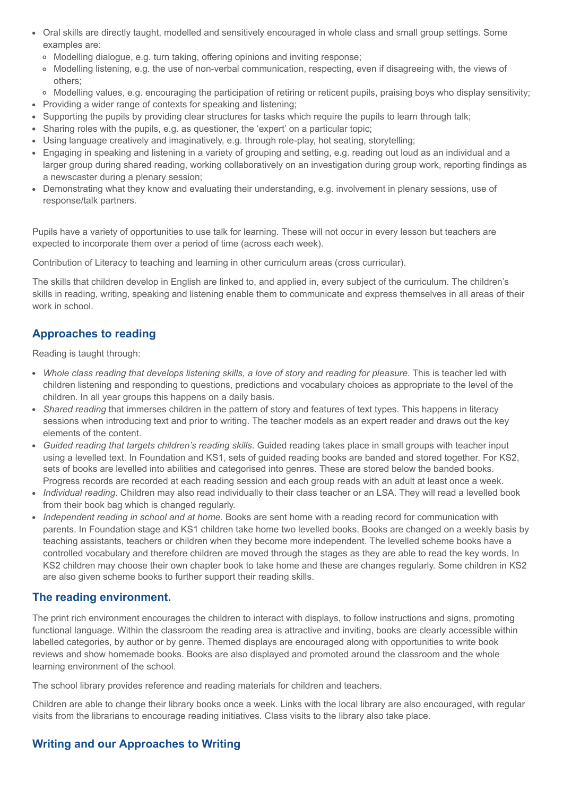- Oral skills are directly taught, modelled and sensitively encouraged in whole class and small group settings. Some examples are:
	- Modelling dialogue, e.g. turn taking, offering opinions and inviting response;
	- Modelling listening, e.g. the use of non-verbal communication, respecting, even if disagreeing with, the views of others;
	- o Modelling values, e.g. encouraging the participation of retiring or reticent pupils, praising boys who display sensitivity;
- Providing a wider range of contexts for speaking and listening;
- Supporting the pupils by providing clear structures for tasks which require the pupils to learn through talk;
- Sharing roles with the pupils, e.g. as questioner, the 'expert' on a particular topic;
- Using language creatively and imaginatively, e.g. through role-play, hot seating, storytelling;
- Engaging in speaking and listening in a variety of grouping and setting, e.g. reading out loud as an individual and a larger group during shared reading, working collaboratively on an investigation during group work, reporting findings as a newscaster during a plenary session;
- Demonstrating what they know and evaluating their understanding, e.g. involvement in plenary sessions, use of response/talk partners.

Pupils have a variety of opportunities to use talk for learning. These will not occur in every lesson but teachers are expected to incorporate them over a period of time (across each week).

Contribution of Literacy to teaching and learning in other curriculum areas (cross curricular).

The skills that children develop in English are linked to, and applied in, every subject of the curriculum. The children's skills in reading, writing, speaking and listening enable them to communicate and express themselves in all areas of their work in school.

### **Approaches to reading**

Reading is taught through:

- *Whole class reading that develops listening skills, a love of story and reading for pleasure*. This is teacher led with children listening and responding to questions, predictions and vocabulary choices as appropriate to the level of the children. In all year groups this happens on a daily basis.
- *Shared reading* that immerses children in the pattern of story and features of text types. This happens in literacy sessions when introducing text and prior to writing. The teacher models as an expert reader and draws out the key elements of the content.
- *Guided reading that targets children's reading skills*. Guided reading takes place in small groups with teacher input using a levelled text. In Foundation and KS1, sets of guided reading books are banded and stored together. For KS2, sets of books are levelled into abilities and categorised into genres. These are stored below the banded books. Progress records are recorded at each reading session and each group reads with an adult at least once a week.
- *Individual reading*. Children may also read individually to their class teacher or an LSA. They will read a levelled book from their book bag which is changed regularly.
- *Independent reading in school and at home*. Books are sent home with a reading record for communication with parents. In Foundation stage and KS1 children take home two levelled books. Books are changed on a weekly basis by teaching assistants, teachers or children when they become more independent. The levelled scheme books have a controlled vocabulary and therefore children are moved through the stages as they are able to read the key words. In KS2 children may choose their own chapter book to take home and these are changes regularly. Some children in KS2 are also given scheme books to further support their reading skills.

#### **The reading environment.**

The print rich environment encourages the children to interact with displays, to follow instructions and signs, promoting functional language. Within the classroom the reading area is attractive and inviting, books are clearly accessible within labelled categories, by author or by genre. Themed displays are encouraged along with opportunities to write book reviews and show homemade books. Books are also displayed and promoted around the classroom and the whole learning environment of the school.

The school library provides reference and reading materials for children and teachers.

Children are able to change their library books once a week. Links with the local library are also encouraged, with regular visits from the librarians to encourage reading initiatives. Class visits to the library also take place.

### **Writing and our Approaches to Writing**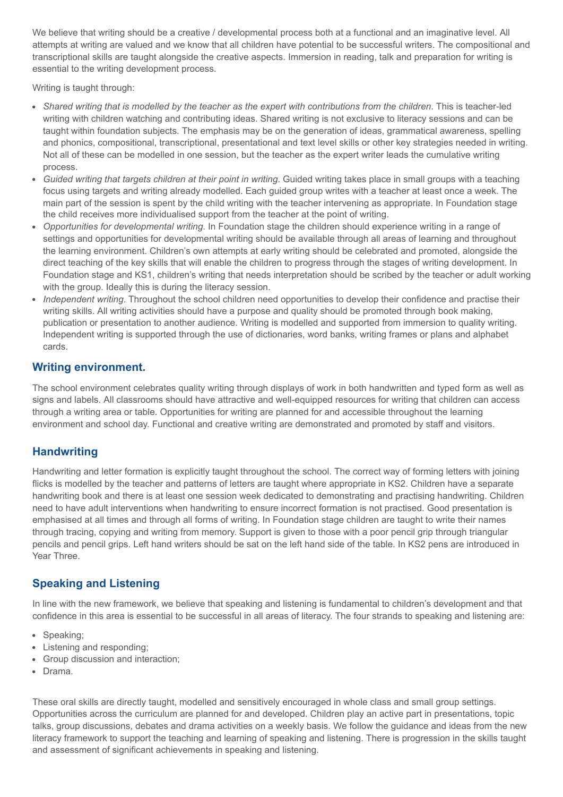We believe that writing should be a creative / developmental process both at a functional and an imaginative level. All attempts at writing are valued and we know that all children have potential to be successful writers. The compositional and transcriptional skills are taught alongside the creative aspects. Immersion in reading, talk and preparation for writing is essential to the writing development process.

Writing is taught through:

- $\bullet$ *Shared writing that is modelled by the teacher as the expert with contributions from the children*. This is teacher-led writing with children watching and contributing ideas. Shared writing is not exclusive to literacy sessions and can be taught within foundation subjects. The emphasis may be on the generation of ideas, grammatical awareness, spelling and phonics, compositional, transcriptional, presentational and text level skills or other key strategies needed in writing. Not all of these can be modelled in one session, but the teacher as the expert writer leads the cumulative writing process.
- *Guided writing that targets children at their point in writing*. Guided writing takes place in small groups with a teaching focus using targets and writing already modelled. Each guided group writes with a teacher at least once a week. The main part of the session is spent by the child writing with the teacher intervening as appropriate. In Foundation stage the child receives more individualised support from the teacher at the point of writing.
- *Opportunities for developmental writing*. In Foundation stage the children should experience writing in a range of settings and opportunities for developmental writing should be available through all areas of learning and throughout the learning environment. Children's own attempts at early writing should be celebrated and promoted, alongside the direct teaching of the key skills that will enable the children to progress through the stages of writing development. In Foundation stage and KS1, children's writing that needs interpretation should be scribed by the teacher or adult working with the group. Ideally this is during the literacy session.
- *Independent writing*. Throughout the school children need opportunities to develop their confidence and practise their writing skills. All writing activities should have a purpose and quality should be promoted through book making, publication or presentation to another audience. Writing is modelled and supported from immersion to quality writing. Independent writing is supported through the use of dictionaries, word banks, writing frames or plans and alphabet cards.

### **Writing environment.**

The school environment celebrates quality writing through displays of work in both handwritten and typed form as well as signs and labels. All classrooms should have attractive and well-equipped resources for writing that children can access through a writing area or table. Opportunities for writing are planned for and accessible throughout the learning environment and school day. Functional and creative writing are demonstrated and promoted by staff and visitors.

### **Handwriting**

Handwriting and letter formation is explicitly taught throughout the school. The correct way of forming letters with joining flicks is modelled by the teacher and patterns of letters are taught where appropriate in KS2. Children have a separate handwriting book and there is at least one session week dedicated to demonstrating and practising handwriting. Children need to have adult interventions when handwriting to ensure incorrect formation is not practised. Good presentation is emphasised at all times and through all forms of writing. In Foundation stage children are taught to write their names through tracing, copying and writing from memory. Support is given to those with a poor pencil grip through triangular pencils and pencil grips. Left hand writers should be sat on the left hand side of the table. In KS2 pens are introduced in Year Three.

### **Speaking and Listening**

In line with the new framework, we believe that speaking and listening is fundamental to children's development and that confidence in this area is essential to be successful in all areas of literacy. The four strands to speaking and listening are:

- Speaking:
- Listening and responding;
- Group discussion and interaction;
- Drama.

These oral skills are directly taught, modelled and sensitively encouraged in whole class and small group settings. Opportunities across the curriculum are planned for and developed. Children play an active part in presentations, topic talks, group discussions, debates and drama activities on a weekly basis. We follow the guidance and ideas from the new literacy framework to support the teaching and learning of speaking and listening. There is progression in the skills taught and assessment of significant achievements in speaking and listening.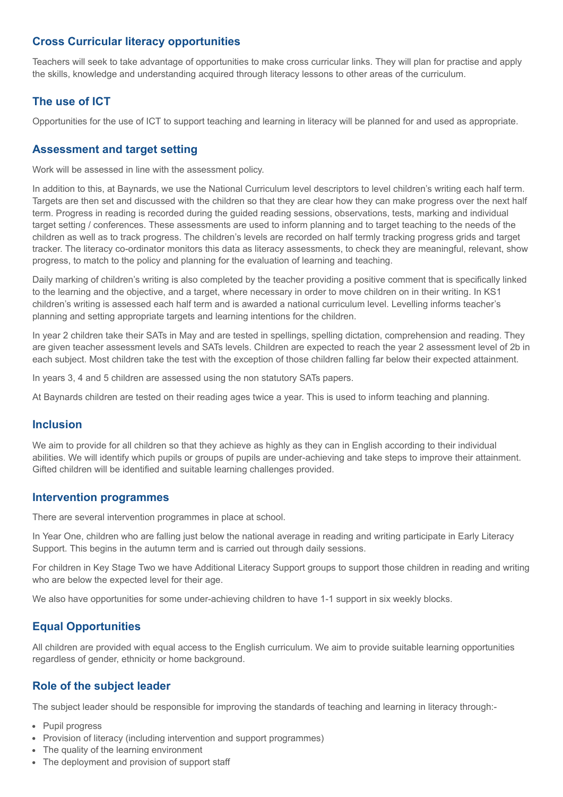### **Cross Curricular literacy opportunities**

Teachers will seek to take advantage of opportunities to make cross curricular links. They will plan for practise and apply the skills, knowledge and understanding acquired through literacy lessons to other areas of the curriculum.

### **The use of ICT**

Opportunities for the use of ICT to support teaching and learning in literacy will be planned for and used as appropriate.

### **Assessment and target setting**

Work will be assessed in line with the assessment policy.

In addition to this, at Baynards, we use the National Curriculum level descriptors to level children's writing each half term. Targets are then set and discussed with the children so that they are clear how they can make progress over the next half term. Progress in reading is recorded during the guided reading sessions, observations, tests, marking and individual target setting / conferences. These assessments are used to inform planning and to target teaching to the needs of the children as well as to track progress. The children's levels are recorded on half termly tracking progress grids and target tracker. The literacy co-ordinator monitors this data as literacy assessments, to check they are meaningful, relevant, show progress, to match to the policy and planning for the evaluation of learning and teaching.

Daily marking of children's writing is also completed by the teacher providing a positive comment that is specifically linked to the learning and the objective, and a target, where necessary in order to move children on in their writing. In KS1 children's writing is assessed each half term and is awarded a national curriculum level. Levelling informs teacher's planning and setting appropriate targets and learning intentions for the children.

In year 2 children take their SATs in May and are tested in spellings, spelling dictation, comprehension and reading. They are given teacher assessment levels and SATs levels. Children are expected to reach the year 2 assessment level of 2b in each subject. Most children take the test with the exception of those children falling far below their expected attainment.

In years 3, 4 and 5 children are assessed using the non statutory SATs papers.

At Baynards children are tested on their reading ages twice a year. This is used to inform teaching and planning.

#### **Inclusion**

We aim to provide for all children so that they achieve as highly as they can in English according to their individual abilities. We will identify which pupils or groups of pupils are under-achieving and take steps to improve their attainment. Gifted children will be identified and suitable learning challenges provided.

#### **Intervention programmes**

There are several intervention programmes in place at school.

In Year One, children who are falling just below the national average in reading and writing participate in Early Literacy Support. This begins in the autumn term and is carried out through daily sessions.

For children in Key Stage Two we have Additional Literacy Support groups to support those children in reading and writing who are below the expected level for their age.

We also have opportunities for some under-achieving children to have 1-1 support in six weekly blocks.

### **Equal Opportunities**

All children are provided with equal access to the English curriculum. We aim to provide suitable learning opportunities regardless of gender, ethnicity or home background.

### **Role of the subject leader**

The subject leader should be responsible for improving the standards of teaching and learning in literacy through:-

- Pupil progress
- Provision of literacy (including intervention and support programmes)
- The quality of the learning environment
- The deployment and provision of support staff